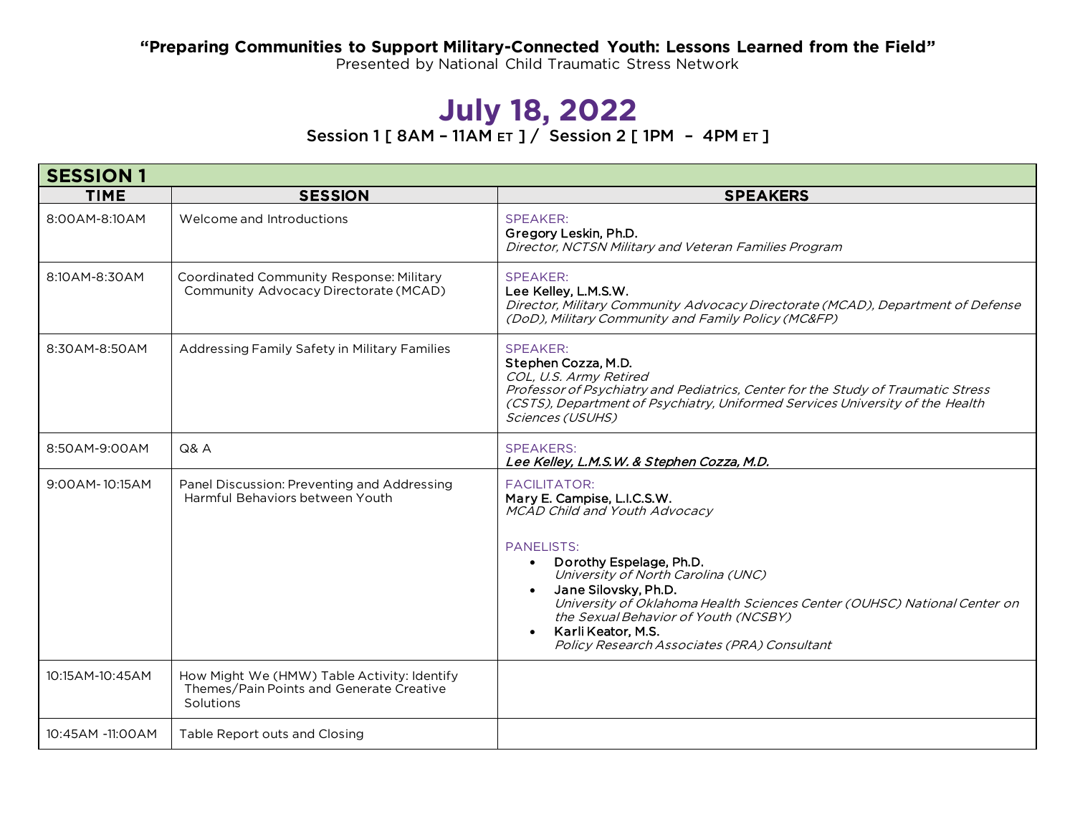## **"Preparing Communities to Support Military-Connected Youth: Lessons Learned from the Field"**

Presented by National Child Traumatic Stress Network

## **July 18, 2022**

Session 1 [  $8AM - 11AM$  ET ] / Session 2 [  $1PM - 4PM$  ET ]

| <b>SESSION 1</b>   |                                                                                                      |                                                                                                                                                                                                                                                                                                                    |  |
|--------------------|------------------------------------------------------------------------------------------------------|--------------------------------------------------------------------------------------------------------------------------------------------------------------------------------------------------------------------------------------------------------------------------------------------------------------------|--|
| <b>TIME</b>        | <b>SESSION</b>                                                                                       | <b>SPEAKERS</b>                                                                                                                                                                                                                                                                                                    |  |
| 8:00AM-8:10AM      | Welcome and Introductions                                                                            | SPEAKER:<br>Gregory Leskin, Ph.D.<br>Director, NCTSN Military and Veteran Families Program                                                                                                                                                                                                                         |  |
| 8:10AM-8:30AM      | Coordinated Community Response: Military<br>Community Advocacy Directorate (MCAD)                    | SPEAKER:<br>Lee Kelley, L.M.S.W.<br>Director, Military Community Advocacy Directorate (MCAD), Department of Defense<br>(DoD), Military Community and Family Policy (MC&FP)                                                                                                                                         |  |
| 8:30AM-8:50AM      | Addressing Family Safety in Military Families                                                        | <b>SPEAKER:</b><br>Stephen Cozza, M.D.<br>COL, U.S. Army Retired<br>Professor of Psychiatry and Pediatrics, Center for the Study of Traumatic Stress<br>(CSTS), Department of Psychiatry, Uniformed Services University of the Health<br>Sciences (USUHS)                                                          |  |
| 8:50AM-9:00AM      | Q&A                                                                                                  | <b>SPEAKERS:</b><br>Lee Kelley, L.M.S.W. & Stephen Cozza, M.D.                                                                                                                                                                                                                                                     |  |
| 9:00 AM - 10:15 AM | Panel Discussion: Preventing and Addressing<br>Harmful Behaviors between Youth                       | <b>FACILITATOR:</b><br>Mary E. Campise, L.I.C.S.W.<br>MCAD Child and Youth Advocacy                                                                                                                                                                                                                                |  |
|                    |                                                                                                      | <b>PANELISTS:</b><br>• Dorothy Espelage, Ph.D.<br>University of North Carolina (UNC)<br>Jane Silovsky, Ph.D.<br>$\bullet$<br>University of Oklahoma Health Sciences Center (OUHSC) National Center on<br>the Sexual Behavior of Youth (NCSBY)<br>Karli Keator, M.S.<br>Policy Research Associates (PRA) Consultant |  |
| 10:15AM-10:45AM    | How Might We (HMW) Table Activity: Identify<br>Themes/Pain Points and Generate Creative<br>Solutions |                                                                                                                                                                                                                                                                                                                    |  |
| 10:45AM -11:00AM   | Table Report outs and Closing                                                                        |                                                                                                                                                                                                                                                                                                                    |  |